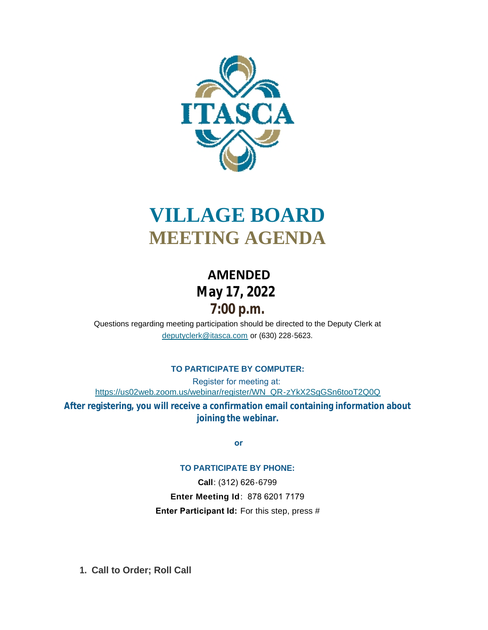

# **VILLAGE BOARD MEETING AGENDA**

# **AMENDED May 17, 2022 7:00 p.m.**

[Questions regarding meeting participation sho](mailto:deputyclerk@itasca.com)uld be directed to the Deputy Clerk at deputyclerk@itasca.com or (630) 228-5623.

### **TO PARTICIPATE BY COMPUTER:**

Register for meeting at: [https://us02web.zoom.us/webinar/register/WN\\_QR-zYkX2SgGSn6tooT2Q0Q](https://us02web.zoom.us/webinar/register/WN_QR-zYkX2SgGSn6tooT2Q0Q) **After registering, you will receive a confirmation email containing information about joining the webinar.**

 **or**

#### **TO PARTICIPATE BY PHONE:**

**Call**: (312) 626-6799 **Enter Meeting Id**: 878 6201 7179 **Enter Participant Id:** For this step, press #

**Call to Order; Roll Call 1.**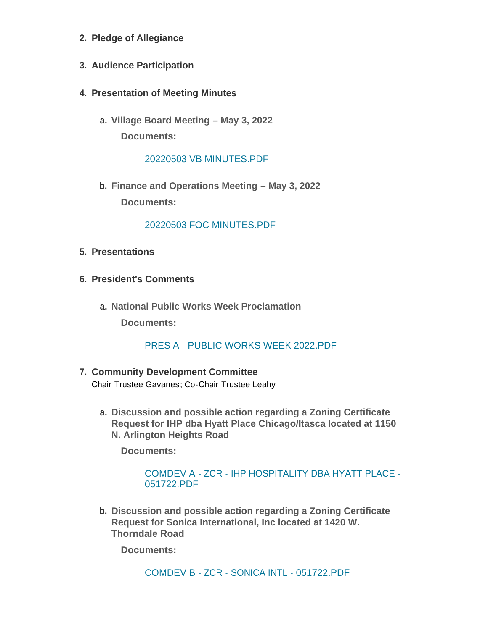- **Pledge of Allegiance 2.**
- **Audience Participation 3.**
- **Presentation of Meeting Minutes 4.**
	- **Village Board Meeting – May 3, 2022 a. Documents:**

[20220503 VB MINUTES.PDF](http://www.itasca.com/AgendaCenter/ViewFile/Item/7719?fileID=9505)

**Finance and Operations Meeting – May 3, 2022 b. Documents:**

[20220503 FOC MINUTES.PDF](http://www.itasca.com/AgendaCenter/ViewFile/Item/7720?fileID=9506)

- **Presentations 5.**
- **President's Comments 6.**
	- **National Public Works Week Proclamation a.**

**Documents:**

# PRES A - [PUBLIC WORKS WEEK 2022.PDF](http://www.itasca.com/AgendaCenter/ViewFile/Item/7721?fileID=9507)

- **Community Development Committee 7.** Chair Trustee Gavanes; Co-Chair Trustee Leahy
	- **Discussion and possible action regarding a Zoning Certificate a. Request for IHP dba Hyatt Place Chicago/Itasca located at 1150 N. Arlington Heights Road**

**Documents:**

COMDEV A - ZCR - [IHP HOSPITALITY DBA HYATT PLACE -](http://www.itasca.com/AgendaCenter/ViewFile/Item/7722?fileID=9508) 051722.PDF

**Discussion and possible action regarding a Zoning Certificate b. Request for Sonica International, Inc located at 1420 W. Thorndale Road**

**Documents:**

COMDEV B - ZCR - [SONICA INTL -](http://www.itasca.com/AgendaCenter/ViewFile/Item/7723?fileID=9509) 051722.PDF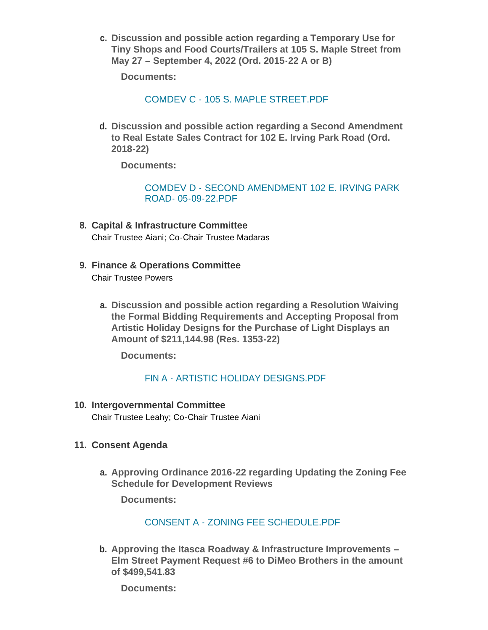**Discussion and possible action regarding a Temporary Use for c. Tiny Shops and Food Courts/Trailers at 105 S. Maple Street from May 27 – September 4, 2022 (Ord. 2015-22 A or B)**

**Documents:**

COMDEV C - [105 S. MAPLE STREET.PDF](http://www.itasca.com/AgendaCenter/ViewFile/Item/7724?fileID=9510)

**Discussion and possible action regarding a Second Amendment d. to Real Estate Sales Contract for 102 E. Irving Park Road (Ord. 2018-22)**

**Documents:**

[COMDEV D - SECOND AMENDMENT 102 E. IRVING PARK](http://www.itasca.com/AgendaCenter/ViewFile/Item/7725?fileID=9511)  ROAD- 05-09-22.PDF

- **Capital & Infrastructure Committee 8.** Chair Trustee Aiani; Co-Chair Trustee Madaras
- **Finance & Operations Committee 9.** Chair Trustee Powers
	- **Discussion and possible action regarding a Resolution Waiving a. the Formal Bidding Requirements and Accepting Proposal from Artistic Holiday Designs for the Purchase of Light Displays an Amount of \$211,144.98 (Res. 1353-22)**

**Documents:**

# FIN A - [ARTISTIC HOLIDAY DESIGNS.PDF](http://www.itasca.com/AgendaCenter/ViewFile/Item/7726?fileID=9512)

**Intergovernmental Committee 10.**

Chair Trustee Leahy; Co-Chair Trustee Aiani

### **Consent Agenda 11.**

**Approving Ordinance 2016-22 regarding Updating the Zoning Fee a. Schedule for Development Reviews**

**Documents:**

## CONSENT A - [ZONING FEE SCHEDULE.PDF](http://www.itasca.com/AgendaCenter/ViewFile/Item/7727?fileID=9513)

**Approving the Itasca Roadway & Infrastructure Improvements – b. Elm Street Payment Request #6 to DiMeo Brothers in the amount of \$499,541.83**

**Documents:**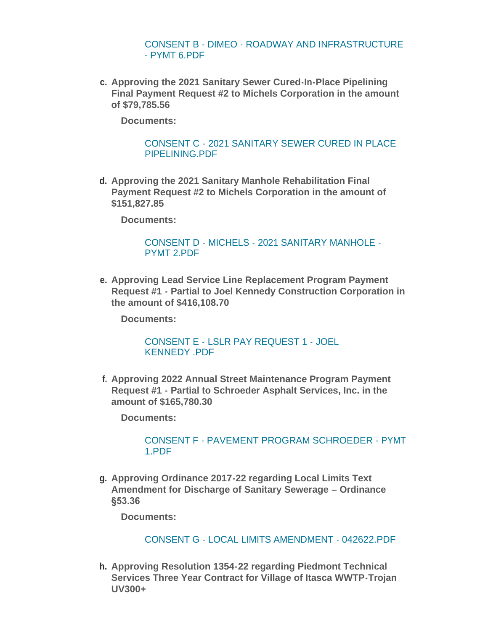CONSENT B - DIMEO - [ROADWAY AND INFRASTRUCTURE](http://www.itasca.com/AgendaCenter/ViewFile/Item/7728?fileID=9514)  - PYMT 6.PDF

**Approving the 2021 Sanitary Sewer Cured-In-Place Pipelining c. Final Payment Request #2 to Michels Corporation in the amount of \$79,785.56**

**Documents:**

[CONSENT C - 2021 SANITARY SEWER CURED IN PLACE](http://www.itasca.com/AgendaCenter/ViewFile/Item/7729?fileID=9515)  PIPELINING.PDF

**Approving the 2021 Sanitary Manhole Rehabilitation Final d. Payment Request #2 to Michels Corporation in the amount of \$151,827.85**

**Documents:**

[CONSENT D - MICHELS - 2021 SANITARY MANHOLE -](http://www.itasca.com/AgendaCenter/ViewFile/Item/7730?fileID=9516) PYMT 2.PDF

**Approving Lead Service Line Replacement Program Payment e. Request #1 - Partial to Joel Kennedy Construction Corporation in the amount of \$416,108.70**

**Documents:**

[CONSENT E - LSLR PAY REQUEST 1 - JOEL](http://www.itasca.com/AgendaCenter/ViewFile/Item/7731?fileID=9517)  KENNEDY .PDF

**Approving 2022 Annual Street Maintenance Program Payment f. Request #1 - Partial to Schroeder Asphalt Services, Inc. in the amount of \$165,780.30**

**Documents:**

#### CONSENT F - [PAVEMENT PROGRAM SCHROEDER -](http://www.itasca.com/AgendaCenter/ViewFile/Item/7732?fileID=9518) PYMT 1.PDF

**Approving Ordinance 2017-22 regarding Local Limits Text g. Amendment for Discharge of Sanitary Sewerage – Ordinance §53.36**

**Documents:**

# CONSENT G - [LOCAL LIMITS AMENDMENT -](http://www.itasca.com/AgendaCenter/ViewFile/Item/7733?fileID=9519) 042622.PDF

**Approving Resolution 1354-22 regarding Piedmont Technical h. Services Three Year Contract for Village of Itasca WWTP-Trojan UV300+**